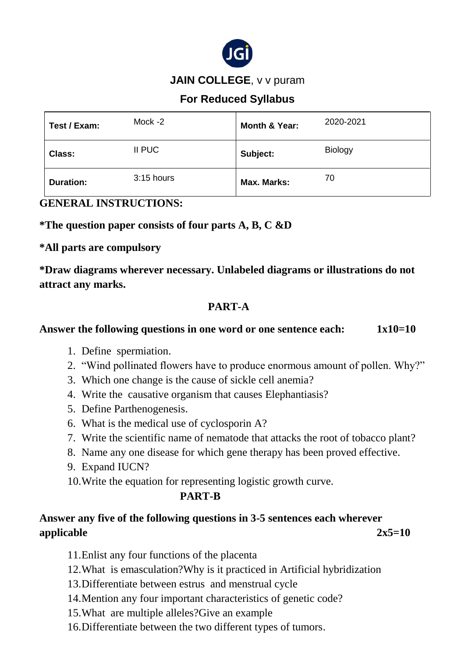

#### **JAIN COLLEGE**, v v puram

## **For Reduced Syllabus**

| Test / Exam:     | Mock -2    | Month & Year: | 2020-2021      |
|------------------|------------|---------------|----------------|
| <b>Class:</b>    | II PUC     | Subject:      | <b>Biology</b> |
| <b>Duration:</b> | 3:15 hours | Max. Marks:   | 70             |

#### **GENERAL INSTRUCTIONS:**

**\*The question paper consists of four parts A, B, C &D** 

**\*All parts are compulsory**

**\*Draw diagrams wherever necessary. Unlabeled diagrams or illustrations do not attract any marks.**

# **PART-A**

#### Answer the following questions in one word or one sentence each:  $1x10=10$

- 1. Define spermiation.
- 2. "Wind pollinated flowers have to produce enormous amount of pollen. Why?"
- 3. Which one change is the cause of sickle cell anemia?
- 4. Write the causative organism that causes Elephantiasis?
- 5. Define Parthenogenesis.
- 6. What is the medical use of cyclosporin A?
- 7. Write the scientific name of nematode that attacks the root of tobacco plant?
- 8. Name any one disease for which gene therapy has been proved effective.
- 9. Expand IUCN?

10.Write the equation for representing logistic growth curve.

#### **PART-B**

# **Answer any five of the following questions in 3-5 sentences each wherever applicable 2x5=10**

- 11.Enlist any four functions of the placenta
- 12.What is emasculation?Why is it practiced in Artificial hybridization
- 13.Differentiate between estrus and menstrual cycle
- 14.Mention any four important characteristics of genetic code?
- 15.What are multiple alleles?Give an example
- 16.Differentiate between the two different types of tumors.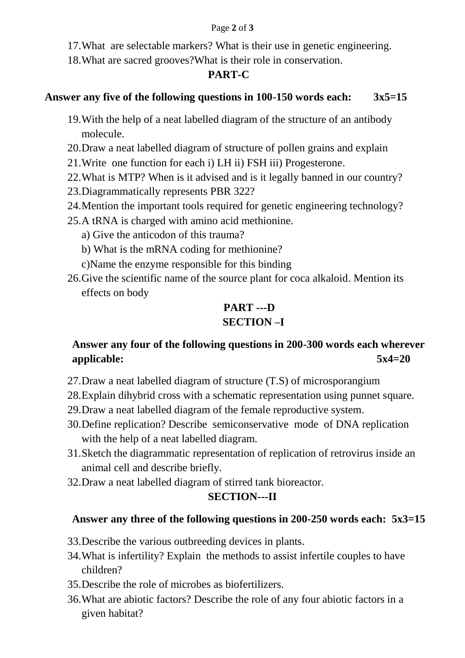#### Page **2** of **3**

17.What are selectable markers? What is their use in genetic engineering.

18.What are sacred grooves?What is their role in conservation.

### **PART-C**

#### **Answer any five of the following questions in 100-150 words each: 3x5=15**

- 19.With the help of a neat labelled diagram of the structure of an antibody molecule.
- 20.Draw a neat labelled diagram of structure of pollen grains and explain
- 21.Write one function for each i) LH ii) FSH iii) Progesterone.
- 22.What is MTP? When is it advised and is it legally banned in our country?
- 23.Diagrammatically represents PBR 322?
- 24.Mention the important tools required for genetic engineering technology?
- 25.A tRNA is charged with amino acid methionine.
	- a) Give the anticodon of this trauma?
	- b) What is the mRNA coding for methionine?
	- c)Name the enzyme responsible for this binding
- 26.Give the scientific name of the source plant for coca alkaloid. Mention its effects on body

# **PART ---D SECTION –I**

# **Answer any four of the following questions in 200-300 words each wherever applicable: 5x4=20**

- 27.Draw a neat labelled diagram of structure (T.S) of microsporangium
- 28.Explain dihybrid cross with a schematic representation using punnet square.
- 29.Draw a neat labelled diagram of the female reproductive system.
- 30.Define replication? Describe semiconservative mode of DNA replication with the help of a neat labelled diagram.
- 31.Sketch the diagrammatic representation of replication of retrovirus inside an animal cell and describe briefly.
- 32.Draw a neat labelled diagram of stirred tank bioreactor.

# **SECTION---II**

# **Answer any three of the following questions in 200-250 words each: 5x3=15**

- 33.Describe the various outbreeding devices in plants.
- 34.What is infertility? Explain the methods to assist infertile couples to have children?
- 35.Describe the role of microbes as biofertilizers.
- 36.What are abiotic factors? Describe the role of any four abiotic factors in a given habitat?